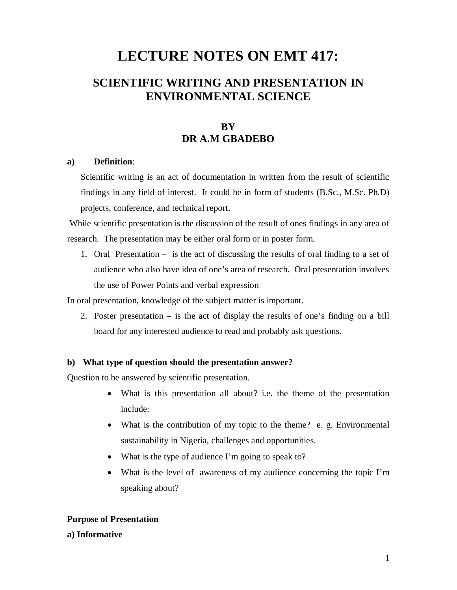# **LECTURE NOTES ON EMT 417:**

# **SCIENTIFIC WRITING AND PRESENTATION IN ENVIRONMENTAL SCIENCE**

# **BY DR A.M GBADEBO**

#### **a) Definition**:

Scientific writing is an act of documentation in written from the result of scientific findings in any field of interest. It could be in form of students (B.Sc., M.Sc. Ph.D) projects, conference, and technical report.

While scientific presentation is the discussion of the result of ones findings in any area of research. The presentation may be either oral form or in poster form.

1. Oral Presentation – is the act of discussing the results of oral finding to a set of audience who also have idea of one's area of research. Oral presentation involves the use of Power Points and verbal expression

In oral presentation, knowledge of the subject matter is important.

2. Poster presentation – is the act of display the results of one's finding on a bill board for any interested audience to read and probably ask questions.

#### **b) What type of question should the presentation answer?**

Question to be answered by scientific presentation.

- What is this presentation all about? i.e. the theme of the presentation include:
- What is the contribution of my topic to the theme? e.g. Environmental sustainability in Nigeria, challenges and opportunities.
- What is the type of audience I'm going to speak to?
- What is the level of awareness of my audience concerning the topic I'm speaking about?

#### **Purpose of Presentation**

**a) Informative**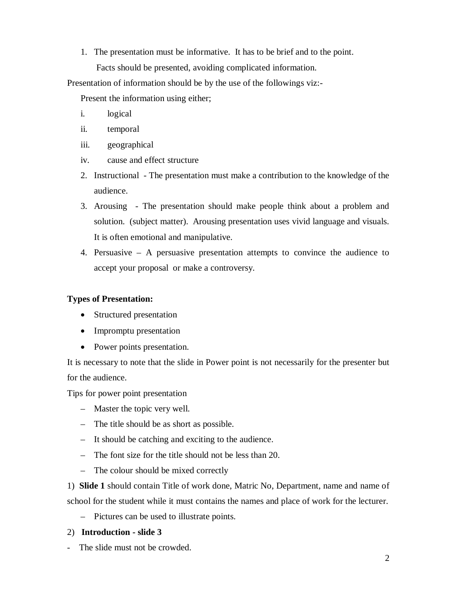1. The presentation must be informative. It has to be brief and to the point. Facts should be presented, avoiding complicated information.

Presentation of information should be by the use of the followings viz:-

Present the information using either;

- i. logical
- ii. temporal
- iii. geographical
- iv. cause and effect structure
- 2. Instructional The presentation must make a contribution to the knowledge of the audience.
- 3. Arousing The presentation should make people think about a problem and solution. (subject matter). Arousing presentation uses vivid language and visuals. It is often emotional and manipulative.
- 4. Persuasive A persuasive presentation attempts to convince the audience to accept your proposal or make a controversy.

#### **Types of Presentation:**

- Structured presentation
- Impromptu presentation
- Power points presentation.

It is necessary to note that the slide in Power point is not necessarily for the presenter but for the audience.

Tips for power point presentation

- Master the topic very well.
- The title should be as short as possible.
- It should be catching and exciting to the audience.
- The font size for the title should not be less than 20.
- The colour should be mixed correctly

1) **Slide 1** should contain Title of work done, Matric No, Department, name and name of school for the student while it must contains the names and place of work for the lecturer.

– Pictures can be used to illustrate points.

#### 2) **Introduction - slide 3**

- The slide must not be crowded.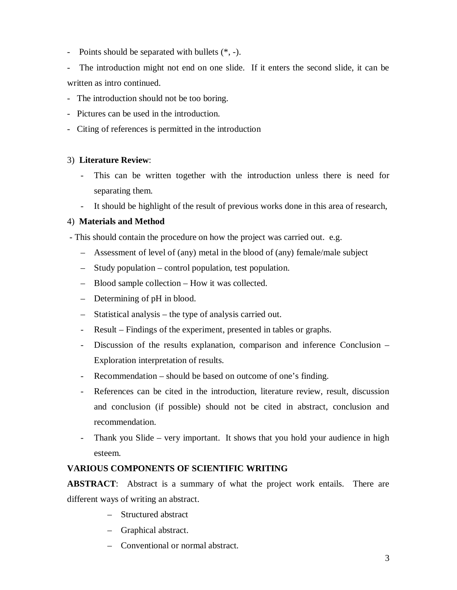- Points should be separated with bullets (\*, -).

- The introduction might not end on one slide. If it enters the second slide, it can be written as intro continued.

- The introduction should not be too boring.
- Pictures can be used in the introduction.
- Citing of references is permitted in the introduction

#### 3) **Literature Review**:

- This can be written together with the introduction unless there is need for separating them.
- It should be highlight of the result of previous works done in this area of research,

#### 4) **Materials and Method**

- This should contain the procedure on how the project was carried out. e.g.

- Assessment of level of (any) metal in the blood of (any) female/male subject
- Study population control population, test population.
- Blood sample collection How it was collected.
- Determining of pH in blood.
- Statistical analysis the type of analysis carried out.
- Result Findings of the experiment, presented in tables or graphs.
- Discussion of the results explanation, comparison and inference Conclusion Exploration interpretation of results.
- Recommendation should be based on outcome of one's finding.
- References can be cited in the introduction, literature review, result, discussion and conclusion (if possible) should not be cited in abstract, conclusion and recommendation.
- Thank you Slide very important. It shows that you hold your audience in high esteem.

# **VARIOUS COMPONENTS OF SCIENTIFIC WRITING**

**ABSTRACT**: Abstract is a summary of what the project work entails. There are different ways of writing an abstract.

- Structured abstract
- Graphical abstract.
- Conventional or normal abstract.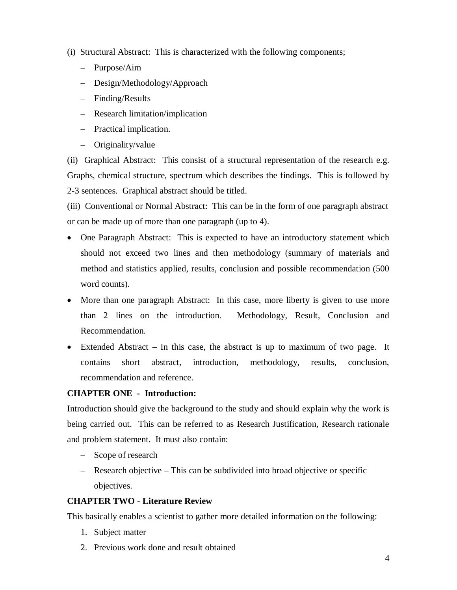- (i) Structural Abstract: This is characterized with the following components;
	- Purpose/Aim
	- Design/Methodology/Approach
	- Finding/Results
	- Research limitation/implication
	- Practical implication.
	- Originality/value

(ii) Graphical Abstract: This consist of a structural representation of the research e.g. Graphs, chemical structure, spectrum which describes the findings. This is followed by 2-3 sentences. Graphical abstract should be titled.

(iii) Conventional or Normal Abstract: This can be in the form of one paragraph abstract or can be made up of more than one paragraph (up to 4).

- One Paragraph Abstract: This is expected to have an introductory statement which should not exceed two lines and then methodology (summary of materials and method and statistics applied, results, conclusion and possible recommendation (500 word counts).
- More than one paragraph Abstract: In this case, more liberty is given to use more than 2 lines on the introduction. Methodology, Result, Conclusion and Recommendation.
- Extended Abstract In this case, the abstract is up to maximum of two page. It contains short abstract, introduction, methodology, results, conclusion, recommendation and reference.

## **CHAPTER ONE - Introduction:**

Introduction should give the background to the study and should explain why the work is being carried out. This can be referred to as Research Justification, Research rationale and problem statement. It must also contain:

- Scope of research
- Research objective This can be subdivided into broad objective or specific objectives.

## **CHAPTER TWO - Literature Review**

This basically enables a scientist to gather more detailed information on the following:

- 1. Subject matter
- 2. Previous work done and result obtained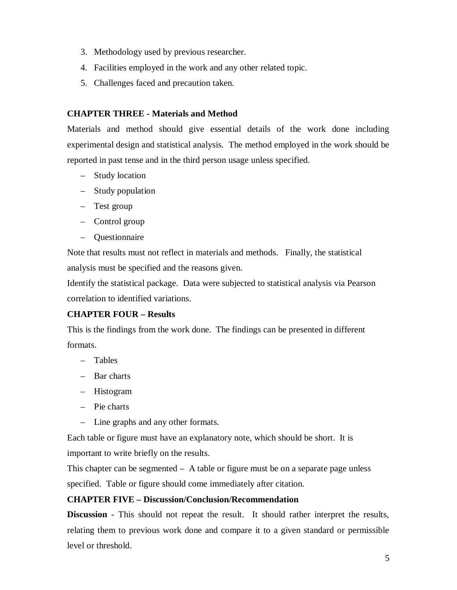- 3. Methodology used by previous researcher.
- 4. Facilities employed in the work and any other related topic.
- 5. Challenges faced and precaution taken.

# **CHAPTER THREE - Materials and Method**

Materials and method should give essential details of the work done including experimental design and statistical analysis.The method employed in the work should be reported in past tense and in the third person usage unless specified.

- Study location
- Study population
- Test group
- Control group
- Questionnaire

Note that results must not reflect in materials and methods. Finally, the statistical analysis must be specified and the reasons given.

Identify the statistical package. Data were subjected to statistical analysis via Pearson correlation to identified variations.

# **CHAPTER FOUR – Results**

This is the findings from the work done. The findings can be presented in different formats.

- Tables
- Bar charts
- Histogram
- Pie charts
- Line graphs and any other formats.

Each table or figure must have an explanatory note, which should be short. It is important to write briefly on the results.

This chapter can be segmented – A table or figure must be on a separate page unless specified. Table or figure should come immediately after citation.

## **CHAPTER FIVE – Discussion/Conclusion/Recommendation**

**Discussion** - This should not repeat the result. It should rather interpret the results, relating them to previous work done and compare it to a given standard or permissible level or threshold.